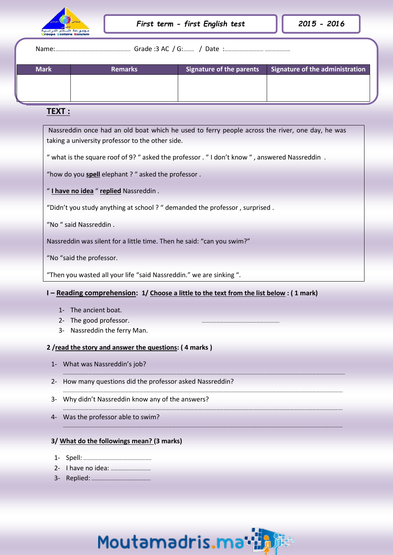

Name:…………………………………………………….. Grade :3 AC / G:……… / Date :…………..……………… …………………

| <b>Mark</b> | <b>Remarks</b> | Signature of the parents | $\blacksquare$ Signature of the administration |
|-------------|----------------|--------------------------|------------------------------------------------|
|             |                |                          |                                                |
|             |                |                          |                                                |
|             |                |                          |                                                |

## **TEXT :**

 Nassreddin once had an old boat which he used to ferry people across the river, one day, he was taking a university professor to the other side.

" what is the square roof of 9? " asked the professor . "I don't know ", answered Nassreddin.

"how do you **spell** elephant ? " asked the professor .

" I have no idea " replied Nassreddin .

"Didn't you study anything at school ? " demanded the professor , surprised .

"No " said Nassreddin.

Nassreddin was silent for a little time. Then he said: "can you swim?"

"No "said the professor.

"Then you wasted all your life "said Nassreddin." we are sinking ".

## **I – Reading comprehension: 1/ Choose a little to the text from the list below : ( 1 mark)**

………………………………………………………………………………………………………………………………………………….…………………………………………………………

………………………………………………………………………………………………………………………………………………….……………………………………………………….

………………………………………………………………………………………………………………………………………………….……………………………………………………….

…………………………………………………………………………………………………………………………………………………..………………………………………………………

- 1- The ancient boat.
- 2- The good professor.
- 3- Nassreddin the ferry Man.

## **2 /read the story and answer the questions: ( 4 marks )**

- 1- What was Nassreddin's job?
- 2- How many questions did the professor asked Nassreddin?
- 3- Why didn't Nassreddin know any of the answers?
- 4- Was the professor able to swim?

## **3/ What do the followings mean? (3 marks)**

- 1- Spell: ………………………………………………..
- 2- I have no idea: ……………………………
- 3- Replied: ………………………………………….